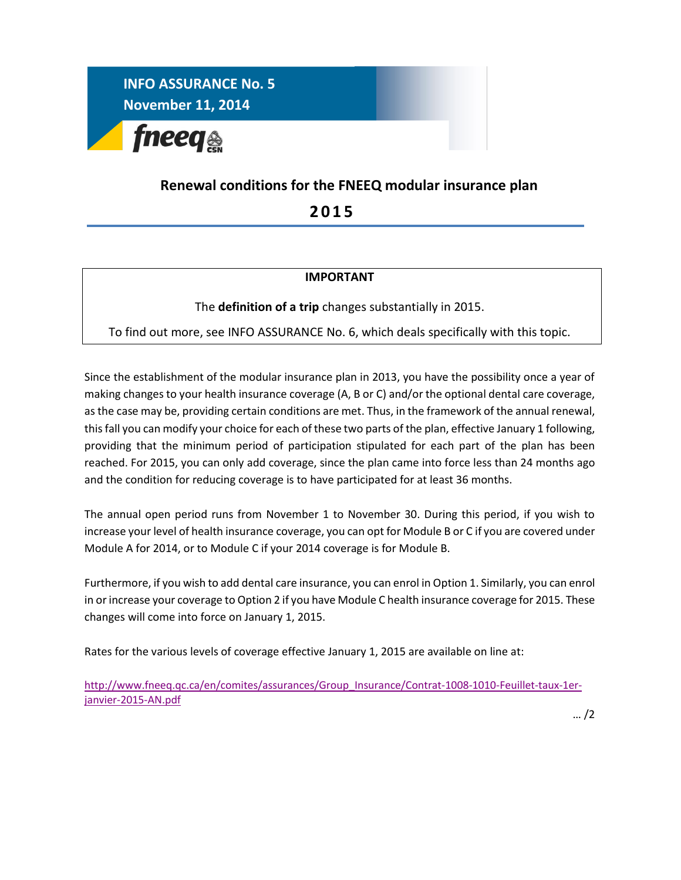

## **Renewal conditions for the FNEEQ modular insurance plan**

 **2 0 1 5**

## **IMPORTANT**

The **definition of a trip** changes substantially in 2015.

To find out more, see INFO ASSURANCE No. 6, which deals specifically with this topic.

Since the establishment of the modular insurance plan in 2013, you have the possibility once a year of making changes to your health insurance coverage (A, B or C) and/or the optional dental care coverage, as the case may be, providing certain conditions are met. Thus, in the framework of the annual renewal, this fall you can modify your choice for each of these two parts of the plan, effective January 1 following, providing that the minimum period of participation stipulated for each part of the plan has been reached. For 2015, you can only add coverage, since the plan came into force less than 24 months ago and the condition for reducing coverage is to have participated for at least 36 months.

The annual open period runs from November 1 to November 30. During this period, if you wish to increase your level of health insurance coverage, you can opt for Module B or C if you are covered under Module A for 2014, or to Module C if your 2014 coverage is for Module B.

Furthermore, if you wish to add dental care insurance, you can enrol in Option 1. Similarly, you can enrol in or increase your coverage to Option 2 if you have Module C health insurance coverage for 2015. These changes will come into force on January 1, 2015.

Rates for the various levels of coverage effective January 1, 2015 are available on line at:

[http://www.fneeq.qc.ca/en/comites/assurances/Group\\_Insurance/Contrat-1008-1010-Feuillet-taux-1er](http://www.fneeq.qc.ca/en/comites/assurances/Group_Insurance/Contrat-1008-1010-Feuillet-taux-1er-janvier-2015-AN.pdf)[janvier-2015-AN.pdf](http://www.fneeq.qc.ca/en/comites/assurances/Group_Insurance/Contrat-1008-1010-Feuillet-taux-1er-janvier-2015-AN.pdf)

… /2